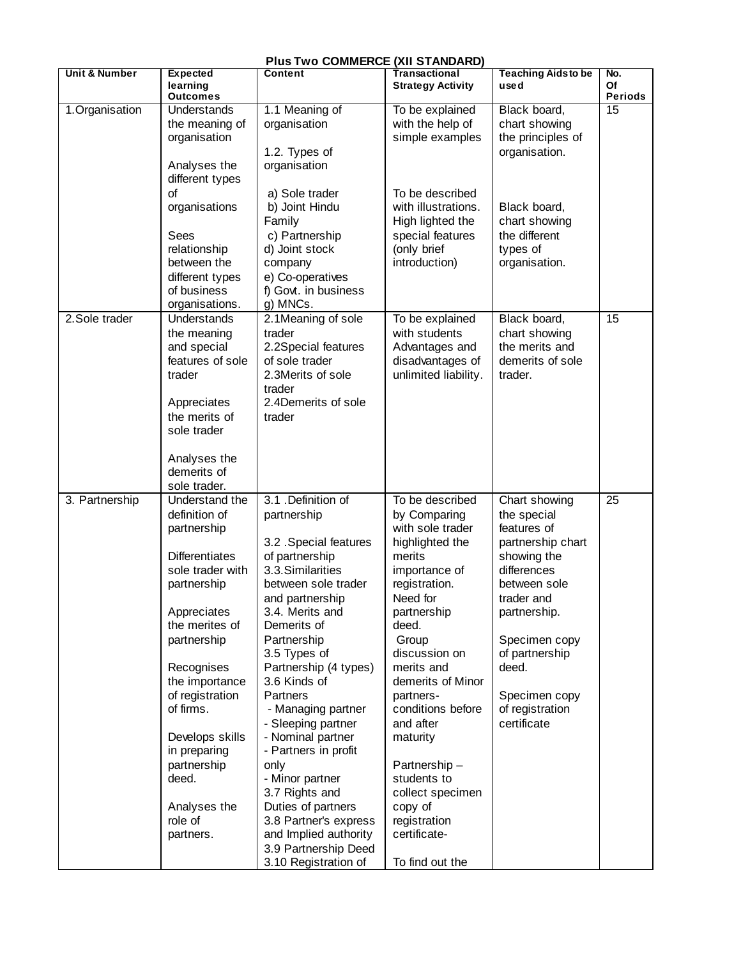| <b>Plus Two COMMERCE (XII STANDARD)</b> |                                                                                                                                                                                                                                                                                                                               |                                                                                                                                                                                                                                                                                                                                                                                                                                                                                                                                        |                                                                                                                                                                                                                                                                                                                                                                                                 |                                                                                                                                                                                                                                             |                      |  |
|-----------------------------------------|-------------------------------------------------------------------------------------------------------------------------------------------------------------------------------------------------------------------------------------------------------------------------------------------------------------------------------|----------------------------------------------------------------------------------------------------------------------------------------------------------------------------------------------------------------------------------------------------------------------------------------------------------------------------------------------------------------------------------------------------------------------------------------------------------------------------------------------------------------------------------------|-------------------------------------------------------------------------------------------------------------------------------------------------------------------------------------------------------------------------------------------------------------------------------------------------------------------------------------------------------------------------------------------------|---------------------------------------------------------------------------------------------------------------------------------------------------------------------------------------------------------------------------------------------|----------------------|--|
| <b>Unit &amp; Number</b>                | <b>Expected</b><br>learning<br><b>Outcomes</b>                                                                                                                                                                                                                                                                                | Content                                                                                                                                                                                                                                                                                                                                                                                                                                                                                                                                | Transactional<br><b>Strategy Activity</b>                                                                                                                                                                                                                                                                                                                                                       | <b>Teaching Aidsto be</b><br>used                                                                                                                                                                                                           | No.<br>Of<br>Periods |  |
| 1.Organisation                          | Understands<br>the meaning of<br>organisation<br>Analyses the<br>different types                                                                                                                                                                                                                                              | 1.1 Meaning of<br>organisation<br>1.2. Types of<br>organisation                                                                                                                                                                                                                                                                                                                                                                                                                                                                        | To be explained<br>with the help of<br>simple examples                                                                                                                                                                                                                                                                                                                                          | Black board,<br>chart showing<br>the principles of<br>organisation.                                                                                                                                                                         | 15                   |  |
|                                         | of<br>organisations<br>Sees<br>relationship<br>between the<br>different types<br>of business<br>organisations.                                                                                                                                                                                                                | a) Sole trader<br>b) Joint Hindu<br>Family<br>c) Partnership<br>d) Joint stock<br>company<br>e) Co-operatives<br>f) Govt. in business<br>g) MNCs.                                                                                                                                                                                                                                                                                                                                                                                      | To be described<br>with illustrations.<br>High lighted the<br>special features<br>(only brief<br>introduction)                                                                                                                                                                                                                                                                                  | Black board,<br>chart showing<br>the different<br>types of<br>organisation.                                                                                                                                                                 |                      |  |
| 2.Sole trader                           | Understands<br>the meaning<br>and special<br>features of sole<br>trader<br>Appreciates<br>the merits of<br>sole trader<br>Analyses the<br>demerits of<br>sole trader.                                                                                                                                                         | 2.1Meaning of sole<br>trader<br>2.2Special features<br>of sole trader<br>2.3Merits of sole<br>trader<br>2.4Demerits of sole<br>trader                                                                                                                                                                                                                                                                                                                                                                                                  | To be explained<br>with students<br>Advantages and<br>disadvantages of<br>unlimited liability.                                                                                                                                                                                                                                                                                                  | Black board,<br>chart showing<br>the merits and<br>demerits of sole<br>trader.                                                                                                                                                              | 15                   |  |
| 3. Partnership                          | Understand the<br>definition of<br>partnership<br><b>Differentiates</b><br>sole trader with<br>partnership<br>Appreciates<br>the merites of<br>partnership<br>Recognises<br>the importance<br>of registration<br>of firms.<br>Develops skills<br>in preparing<br>partnership<br>deed.<br>Analyses the<br>role of<br>partners. | 3.1 .Definition of<br>partnership<br>3.2 . Special features<br>of partnership<br>3.3.Similarities<br>between sole trader<br>and partnership<br>3.4. Merits and<br>Demerits of<br>Partnership<br>3.5 Types of<br>Partnership (4 types)<br>3.6 Kinds of<br><b>Partners</b><br>- Managing partner<br>- Sleeping partner<br>- Nominal partner<br>- Partners in profit<br>only<br>- Minor partner<br>3.7 Rights and<br>Duties of partners<br>3.8 Partner's express<br>and Implied authority<br>3.9 Partnership Deed<br>3.10 Registration of | To be described<br>by Comparing<br>with sole trader<br>highlighted the<br>merits<br>importance of<br>registration.<br>Need for<br>partnership<br>deed.<br>Group<br>discussion on<br>merits and<br>demerits of Minor<br>partners-<br>conditions before<br>and after<br>maturity<br>Partnership-<br>students to<br>collect specimen<br>copy of<br>registration<br>certificate-<br>To find out the | Chart showing<br>the special<br>features of<br>partnership chart<br>showing the<br>differences<br>between sole<br>trader and<br>partnership.<br>Specimen copy<br>of partnership<br>deed.<br>Specimen copy<br>of registration<br>certificate | 25                   |  |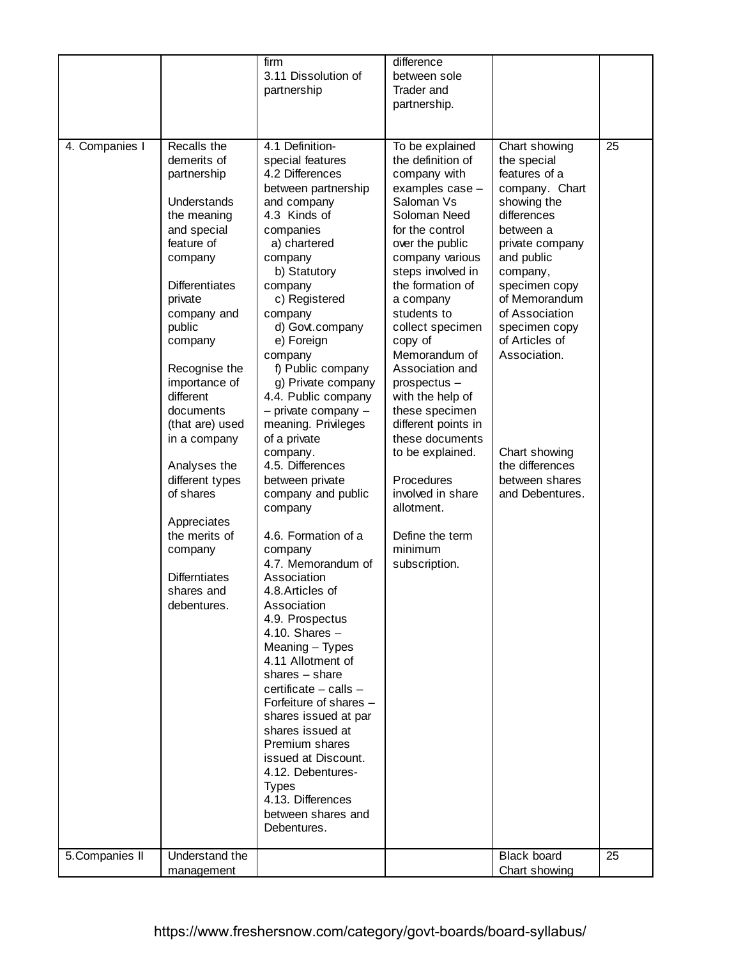|                 |                                                                                                                                                                                                                                                                                                                                                                                                                                        | firm<br>3.11 Dissolution of<br>partnership                                                                                                                                                                                                                                                                                                                                                                                                                                                                                                                                                                                                                                                                                                                                                                                                                                                                                          | difference<br>between sole<br><b>Trader and</b><br>partnership.                                                                                                                                                                                                                                                                                                                                                                                                                                                            |                                                                                                                                                                                                                                                                                                                                         |    |
|-----------------|----------------------------------------------------------------------------------------------------------------------------------------------------------------------------------------------------------------------------------------------------------------------------------------------------------------------------------------------------------------------------------------------------------------------------------------|-------------------------------------------------------------------------------------------------------------------------------------------------------------------------------------------------------------------------------------------------------------------------------------------------------------------------------------------------------------------------------------------------------------------------------------------------------------------------------------------------------------------------------------------------------------------------------------------------------------------------------------------------------------------------------------------------------------------------------------------------------------------------------------------------------------------------------------------------------------------------------------------------------------------------------------|----------------------------------------------------------------------------------------------------------------------------------------------------------------------------------------------------------------------------------------------------------------------------------------------------------------------------------------------------------------------------------------------------------------------------------------------------------------------------------------------------------------------------|-----------------------------------------------------------------------------------------------------------------------------------------------------------------------------------------------------------------------------------------------------------------------------------------------------------------------------------------|----|
| 4. Companies I  | Recalls the<br>demerits of<br>partnership<br>Understands<br>the meaning<br>and special<br>feature of<br>company<br><b>Differentiates</b><br>private<br>company and<br>public<br>company<br>Recognise the<br>importance of<br>different<br>documents<br>(that are) used<br>in a company<br>Analyses the<br>different types<br>of shares<br>Appreciates<br>the merits of<br>company<br><b>Differntiates</b><br>shares and<br>debentures. | 4.1 Definition-<br>special features<br>4.2 Differences<br>between partnership<br>and company<br>4.3 Kinds of<br>companies<br>a) chartered<br>company<br>b) Statutory<br>company<br>c) Registered<br>company<br>d) Govt.company<br>e) Foreign<br>company<br>f) Public company<br>g) Private company<br>4.4. Public company<br>$-$ private company $-$<br>meaning. Privileges<br>of a private<br>company.<br>4.5. Differences<br>between private<br>company and public<br>company<br>4.6. Formation of a<br>company<br>4.7. Memorandum of<br>Association<br>4.8. Articles of<br>Association<br>4.9. Prospectus<br>4.10. Shares $-$<br>Meaning - Types<br>4.11 Allotment of<br>shares $-$ share<br>certificate - calls -<br>Forfeiture of shares -<br>shares issued at par<br>shares issued at<br>Premium shares<br>issued at Discount.<br>4.12. Debentures-<br><b>Types</b><br>4.13. Differences<br>between shares and<br>Debentures. | To be explained<br>the definition of<br>company with<br>examples case -<br>Saloman Vs<br>Soloman Need<br>for the control<br>over the public<br>company various<br>steps involved in<br>the formation of<br>a company<br>students to<br>collect specimen<br>copy of<br>Memorandum of<br>Association and<br>prospectus -<br>with the help of<br>these specimen<br>different points in<br>these documents<br>to be explained.<br>Procedures<br>involved in share<br>allotment.<br>Define the term<br>minimum<br>subscription. | Chart showing<br>the special<br>features of a<br>company. Chart<br>showing the<br>differences<br>between a<br>private company<br>and public<br>company,<br>specimen copy<br>of Memorandum<br>of Association<br>specimen copy<br>of Articles of<br>Association.<br>Chart showing<br>the differences<br>between shares<br>and Debentures. | 25 |
| 5. Companies II | Understand the<br>management                                                                                                                                                                                                                                                                                                                                                                                                           |                                                                                                                                                                                                                                                                                                                                                                                                                                                                                                                                                                                                                                                                                                                                                                                                                                                                                                                                     |                                                                                                                                                                                                                                                                                                                                                                                                                                                                                                                            | <b>Black board</b><br>Chart showing                                                                                                                                                                                                                                                                                                     | 25 |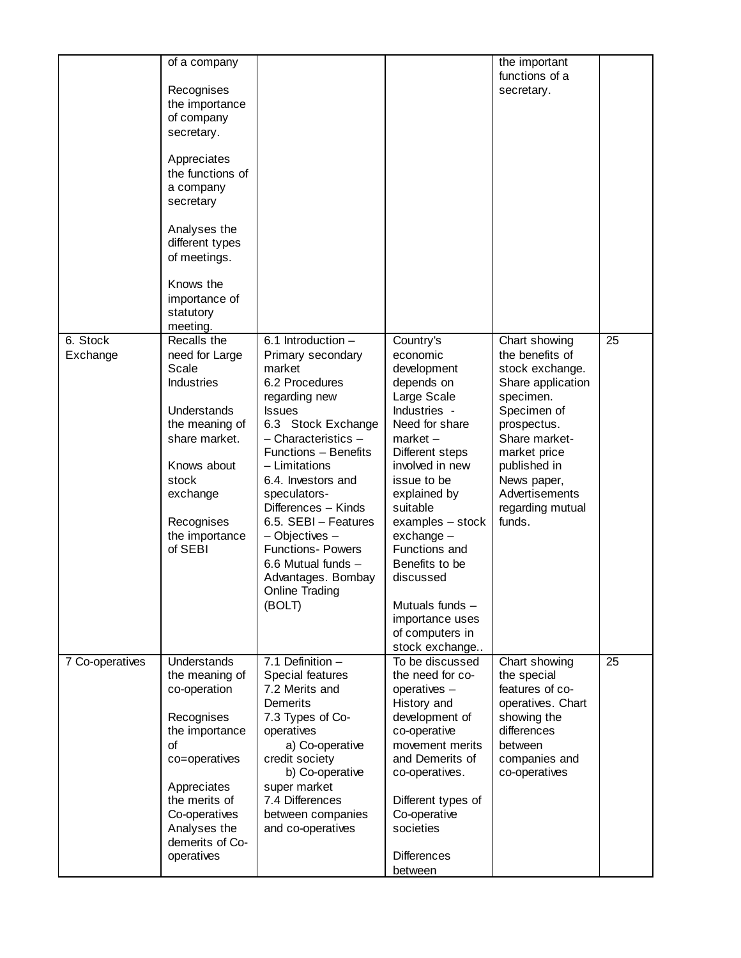|                 | of a company       |                          |                    | the important     |    |
|-----------------|--------------------|--------------------------|--------------------|-------------------|----|
|                 |                    |                          |                    | functions of a    |    |
|                 | Recognises         |                          |                    | secretary.        |    |
|                 | the importance     |                          |                    |                   |    |
|                 | of company         |                          |                    |                   |    |
|                 | secretary.         |                          |                    |                   |    |
|                 |                    |                          |                    |                   |    |
|                 | Appreciates        |                          |                    |                   |    |
|                 | the functions of   |                          |                    |                   |    |
|                 | a company          |                          |                    |                   |    |
|                 | secretary          |                          |                    |                   |    |
|                 |                    |                          |                    |                   |    |
|                 | Analyses the       |                          |                    |                   |    |
|                 | different types    |                          |                    |                   |    |
|                 | of meetings.       |                          |                    |                   |    |
|                 |                    |                          |                    |                   |    |
|                 | Knows the          |                          |                    |                   |    |
|                 | importance of      |                          |                    |                   |    |
|                 | statutory          |                          |                    |                   |    |
|                 | meeting.           |                          |                    |                   |    |
| $6.$ Stock      | Recalls the        | $6.1$ Introduction $-$   | Country's          | Chart showing     | 25 |
| Exchange        | need for Large     | Primary secondary        | economic           | the benefits of   |    |
|                 | Scale              | market                   | development        | stock exchange.   |    |
|                 | <b>Industries</b>  | 6.2 Procedures           | depends on         | Share application |    |
|                 |                    | regarding new            | Large Scale        | specimen.         |    |
|                 | Understands        | <b>Issues</b>            | Industries -       | Specimen of       |    |
|                 | the meaning of     | 6.3 Stock Exchange       | Need for share     | prospectus.       |    |
|                 | share market.      | $-$ Characteristics $-$  | $market -$         | Share market-     |    |
|                 |                    | Functions - Benefits     | Different steps    | market price      |    |
|                 | Knows about        | - Limitations            | involved in new    | published in      |    |
|                 | stock              | 6.4. Investors and       | issue to be        | News paper,       |    |
|                 | exchange           | speculators-             | explained by       | Advertisements    |    |
|                 |                    | Differences - Kinds      | suitable           | regarding mutual  |    |
|                 | Recognises         | 6.5. SEBI - Features     | examples - stock   | funds.            |    |
|                 | the importance     | $-$ Objectives $-$       | $exchange -$       |                   |    |
|                 | of SEBI            | <b>Functions- Powers</b> | Functions and      |                   |    |
|                 |                    | 6.6 Mutual funds -       | Benefits to be     |                   |    |
|                 |                    | Advantages. Bombay       | discussed          |                   |    |
|                 |                    | <b>Online Trading</b>    |                    |                   |    |
|                 |                    | (BOLT)                   | Mutuals funds -    |                   |    |
|                 |                    |                          | importance uses    |                   |    |
|                 |                    |                          | of computers in    |                   |    |
|                 |                    |                          | stock exchange     |                   |    |
| 7 Co-operatives | <b>Understands</b> | 7.1 Definition $-$       | To be discussed    | Chart showing     | 25 |
|                 | the meaning of     | Special features         | the need for co-   | the special       |    |
|                 | co-operation       | 7.2 Merits and           | operatives -       | features of co-   |    |
|                 |                    | Demerits                 | History and        | operatives. Chart |    |
|                 | Recognises         | 7.3 Types of Co-         | development of     | showing the       |    |
|                 | the importance     | operatives               | co-operative       | differences       |    |
|                 | οf                 | a) Co-operative          | movement merits    | between           |    |
|                 | co=operatives      | credit society           | and Demerits of    | companies and     |    |
|                 |                    | b) Co-operative          | co-operatives.     | co-operatives     |    |
|                 | Appreciates        | super market             |                    |                   |    |
|                 | the merits of      | 7.4 Differences          | Different types of |                   |    |
|                 | Co-operatives      | between companies        | Co-operative       |                   |    |
|                 | Analyses the       | and co-operatives        | societies          |                   |    |
|                 | demerits of Co-    |                          |                    |                   |    |
|                 | operatives         |                          | <b>Differences</b> |                   |    |
|                 |                    |                          | between            |                   |    |